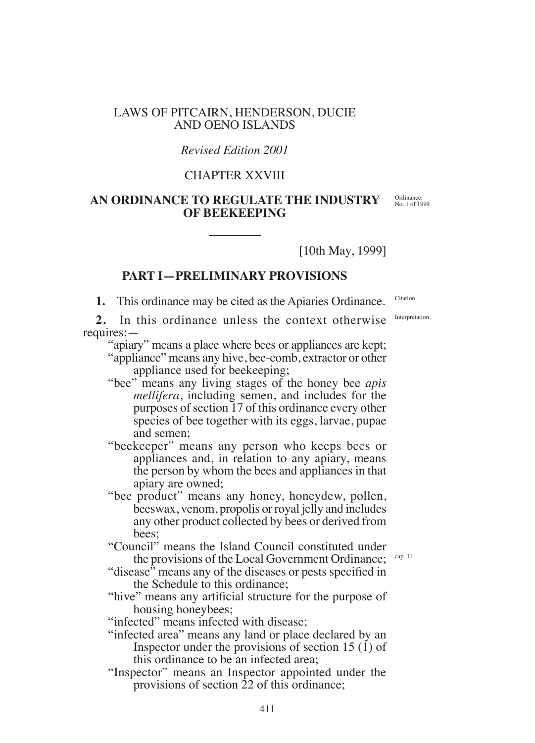### LAWS OF PITCAIRN, HENDERSON, DUCIE AND OENO ISLANDS

### *Revised Edition 2001*

# CHAPTER XXVIII

# **AN ORDINANCE TO REGULATE THE INDUSTRY OF BEEKEEPING**

[10th May, 1999]

### **PART I—PRELIMINARY PROVISIONS**

**1.** This ordinance may be cited as the Apiaries Ordinance.

**2.** In this ordinance unless the context otherwise requires:—

"apiary" means a place where bees or appliances are kept;

"appliance" means any hive, bee-comb, extractor or other appliance used for beekeeping;

- "bee" means any living stages of the honey bee *apis mellifera*, including semen, and includes for the purposes of section 17 of this ordinance every other species of bee together with its eggs, larvae, pupae and semen;
- "beekeeper" means any person who keeps bees or appliances and, in relation to any apiary, means the person by whom the bees and appliances in that apiary are owned;
- "bee product" means any honey, honeydew, pollen, beeswax, venom, propolis or royal jelly and includes any other product collected by bees or derived from bees;

"Council" means the Island Council constituted under the provisions of the Local Government Ordinance;

- "disease" means any of the diseases or pests specified in the Schedule to this ordinance;
- "hive" means any artificial structure for the purpose of housing honeybees;

"infected" means infected with disease;

- "infected area" means any land or place declared by an Inspector under the provisions of section 15 (1) of this ordinance to be an infected area;
- "Inspector" means an Inspector appointed under the provisions of section 22 of this ordinance;

Citation.

Interpretation.

Ordinance: No. 1 of 1999

cap. 11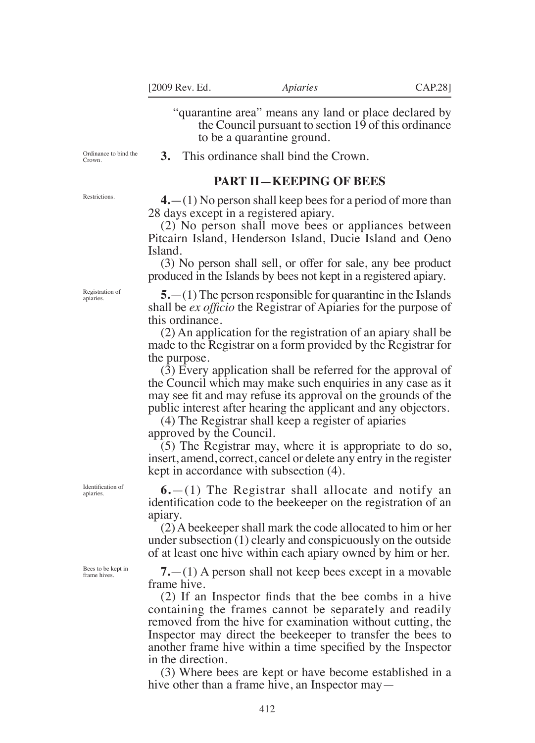"quarantine area" means any land or place declared by the Council pursuant to section 19 of this ordinance to be a quarantine ground.

Ordinance to bind the Crown.

Restrictions.

**3.** This ordinance shall bind the Crown.

#### **PART II—KEEPING OF BEES**

**4.**—(1) No person shall keep bees for a period of more than 28 days except in a registered apiary.

(2) No person shall move bees or appliances between Pitcairn Island, Henderson Island, Ducie Island and Oeno Island.

(3) No person shall sell, or offer for sale, any bee product produced in the Islands by bees not kept in a registered apiary.

**5.**—(1) The person responsible for quarantine in the Islands shall be *ex oficio* the Registrar of Apiaries for the purpose of this ordinance.

(2) An application for the registration of an apiary shall be made to the Registrar on a form provided by the Registrar for the purpose.

(3) Every application shall be referred for the approval of the Council which may make such enquiries in any case as it may see fit and may refuse its approval on the grounds of the public interest after hearing the applicant and any objectors.

(4) The Registrar shall keep a register of apiaries approved by the Council.

(5) The Registrar may, where it is appropriate to do so, insert, amend, correct, cancel or delete any entry in the register kept in accordance with subsection (4).

**6.**—(1) The Registrar shall allocate and notify an identification code to the beekeeper on the registration of an apiary.

(2) A beekeeper shall mark the code allocated to him or her under subsection (1) clearly and conspicuously on the outside of at least one hive within each apiary owned by him or her.

**7.**—(1) A person shall not keep bees except in a movable frame hive.

(2) If an Inspector inds that the bee combs in a hive containing the frames cannot be separately and readily removed from the hive for examination without cutting, the Inspector may direct the beekeeper to transfer the bees to another frame hive within a time specified by the Inspector in the direction.

(3) Where bees are kept or have become established in a hive other than a frame hive, an Inspector may—

Registration of apiaries.

Identification of apiaries.

Bees to be kept in frame hives.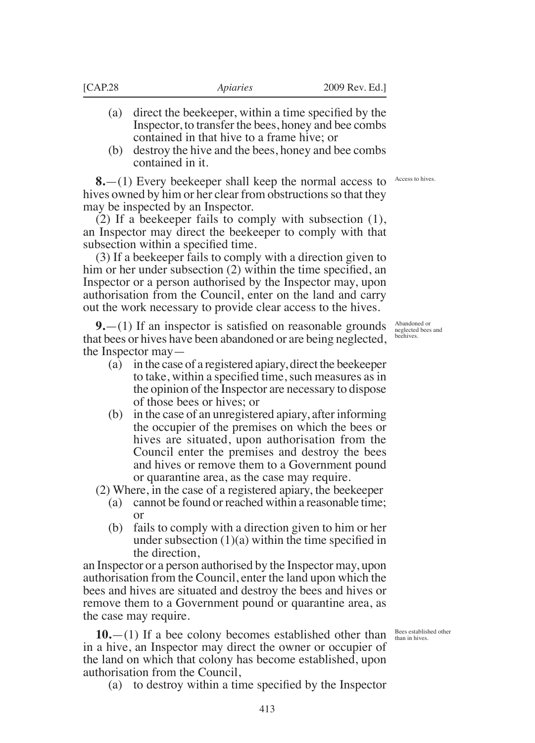- (a) direct the beekeeper, within a time specified by the Inspector, to transfer the bees, honey and bee combs contained in that hive to a frame hive; or
- (b) destroy the hive and the bees, honey and bee combs contained in it.

**8.**—(1) Every beekeeper shall keep the normal access to hives owned by him or her clear from obstructions so that they may be inspected by an Inspector.

(2) If a beekeeper fails to comply with subsection (1), an Inspector may direct the beekeeper to comply with that subsection within a specified time.

(3) If a beekeeper fails to comply with a direction given to him or her under subsection (2) within the time specified, an Inspector or a person authorised by the Inspector may, upon authorisation from the Council, enter on the land and carry out the work necessary to provide clear access to the hives.

**9.**—(1) If an inspector is satisfied on reasonable grounds that bees or hives have been abandoned or are being neglected, the Inspector may—

- (a) in the case of a registered apiary, direct the beekeeper to take, within a specified time, such measures as in the opinion of the Inspector are necessary to dispose of those bees or hives; or
- (b) in the case of an unregistered apiary, after informing the occupier of the premises on which the bees or hives are situated, upon authorisation from the Council enter the premises and destroy the bees and hives or remove them to a Government pound or quarantine area, as the case may require.

(2) Where, in the case of a registered apiary, the beekeeper

- (a) cannot be found or reached within a reasonable time; or
- (b) fails to comply with a direction given to him or her under subsection  $(1)(a)$  within the time specified in the direction,

an Inspector or a person authorised by the Inspector may, upon authorisation from the Council, enter the land upon which the bees and hives are situated and destroy the bees and hives or remove them to a Government pound or quarantine area, as the case may require.

**10.**—(1) If a bee colony becomes established other than in a hive, an Inspector may direct the owner or occupier of the land on which that colony has become established, upon authorisation from the Council,

(a) to destroy within a time specified by the Inspector

Access to hives.

Abandoned or neglected bees and beehives.

Bees established other than in hives.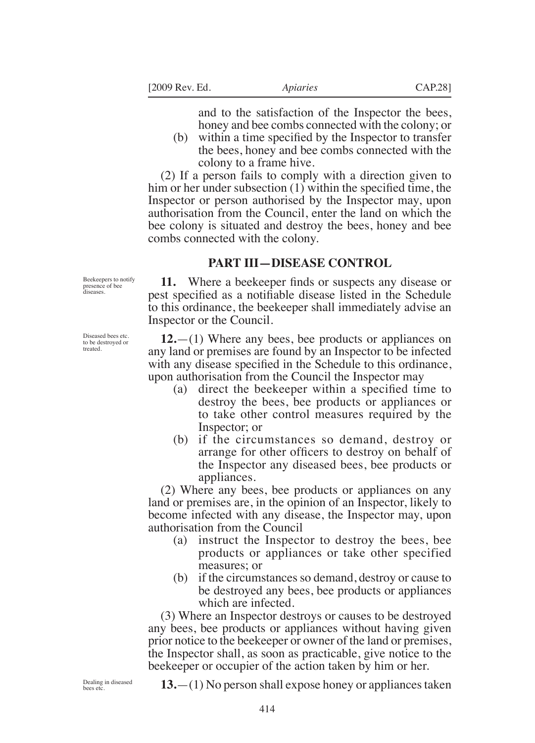and to the satisfaction of the Inspector the bees, honey and bee combs connected with the colony; or

(b) within a time specified by the Inspector to transfer the bees, honey and bee combs connected with the colony to a frame hive.

(2) If a person fails to comply with a direction given to him or her under subsection  $(1)$  within the specified time, the Inspector or person authorised by the Inspector may, upon authorisation from the Council, enter the land on which the bee colony is situated and destroy the bees, honey and bee combs connected with the colony.

#### **PART III—DISEASE CONTROL**

Beekeepers to notify presence of bee diseases.

**11.** Where a beekeeper finds or suspects any disease or pest specified as a notifiable disease listed in the Schedule to this ordinance, the beekeeper shall immediately advise an Inspector or the Council.

**12.**—(1) Where any bees, bee products or appliances on any land or premises are found by an Inspector to be infected with any disease specified in the Schedule to this ordinance, upon authorisation from the Council the Inspector may

- (a) direct the beekeeper within a specified time to destroy the bees, bee products or appliances or to take other control measures required by the Inspector; or
- (b) if the circumstances so demand, destroy or arrange for other oficers to destroy on behalf of the Inspector any diseased bees, bee products or appliances.

(2) Where any bees, bee products or appliances on any land or premises are, in the opinion of an Inspector, likely to become infected with any disease, the Inspector may, upon authorisation from the Council

- (a) instruct the Inspector to destroy the bees, bee products or appliances or take other specified measures; or
- (b) if the circumstances so demand, destroy or cause to be destroyed any bees, bee products or appliances which are infected.

(3) Where an Inspector destroys or causes to be destroyed any bees, bee products or appliances without having given prior notice to the beekeeper or owner of the land or premises, the Inspector shall, as soon as practicable, give notice to the beekeeper or occupier of the action taken by him or her.

Dealing in diseased bees etc.

**13.**—(1) No person shall expose honey or appliances taken

Diseased bees etc. to be destroyed or treated.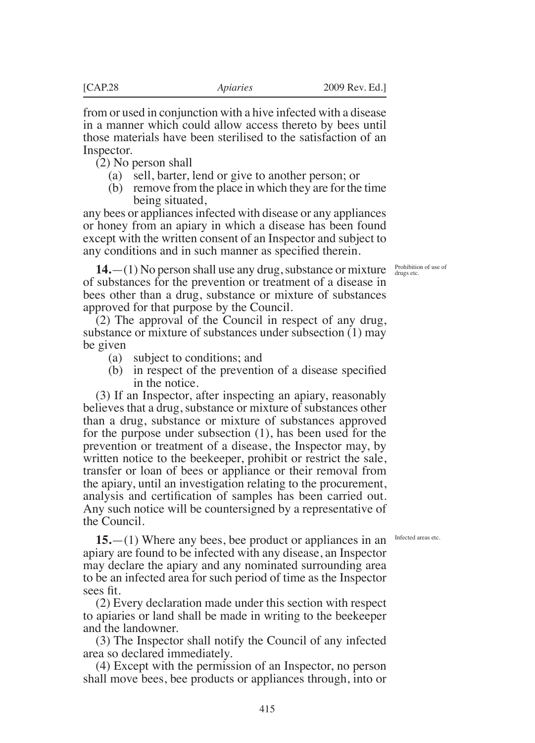from or used in conjunction with a hive infected with a disease in a manner which could allow access thereto by bees until those materials have been sterilised to the satisfaction of an Inspector.

(2) No person shall

- (a) sell, barter, lend or give to another person; or
- (b) remove from the place in which they are for the time being situated,

any bees or appliances infected with disease or any appliances or honey from an apiary in which a disease has been found except with the written consent of an Inspector and subject to any conditions and in such manner as specified therein.

**14.**—(1) No person shall use any drug, substance or mixture  $\frac{Probibition of use of}{drugs etc.}$ of substances for the prevention or treatment of a disease in bees other than a drug, substance or mixture of substances approved for that purpose by the Council.

(2) The approval of the Council in respect of any drug, substance or mixture of substances under subsection (1) may be given

- (a) subject to conditions; and
- (b) in respect of the prevention of a disease specified in the notice.

(3) If an Inspector, after inspecting an apiary, reasonably believes that a drug, substance or mixture of substances other than a drug, substance or mixture of substances approved for the purpose under subsection (1), has been used for the prevention or treatment of a disease, the Inspector may, by written notice to the beekeeper, prohibit or restrict the sale, transfer or loan of bees or appliance or their removal from the apiary, until an investigation relating to the procurement, analysis and certification of samples has been carried out. Any such notice will be countersigned by a representative of the Council.

Infected areas etc.

**15.**—(1) Where any bees, bee product or appliances in an apiary are found to be infected with any disease, an Inspector may declare the apiary and any nominated surrounding area to be an infected area for such period of time as the Inspector sees fit.

(2) Every declaration made under this section with respect to apiaries or land shall be made in writing to the beekeeper and the landowner.

(3) The Inspector shall notify the Council of any infected area so declared immediately.

(4) Except with the permission of an Inspector, no person shall move bees, bee products or appliances through, into or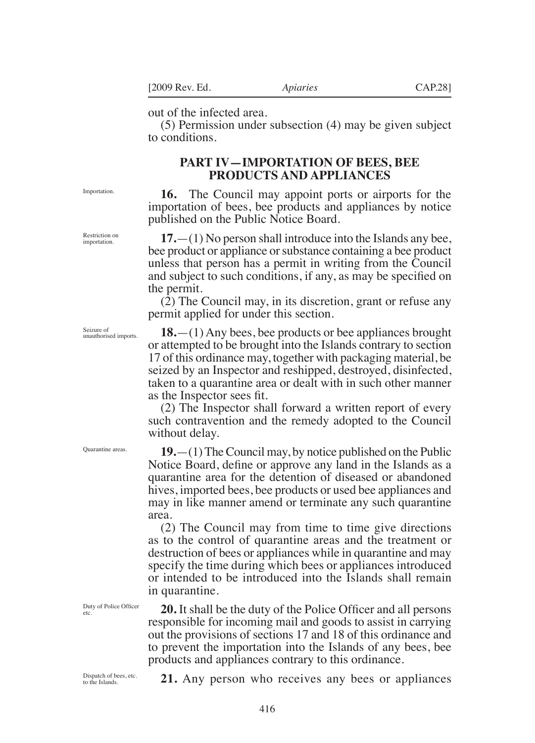out of the infected area.

(5) Permission under subsection (4) may be given subject to conditions.

# **PART IV—IMPORTATION OF BEES, BEE PRODUCTS AND APPLIANCES**

**16.** The Council may appoint ports or airports for the importation of bees, bee products and appliances by notice published on the Public Notice Board.

**17.**—(1) No person shall introduce into the Islands any bee, bee product or appliance or substance containing a bee product unless that person has a permit in writing from the Council and subject to such conditions, if any, as may be specified on the permit.

(2) The Council may, in its discretion, grant or refuse any permit applied for under this section.

**18.**—(1) Any bees, bee products or bee appliances brought or attempted to be brought into the Islands contrary to section 17 of this ordinance may, together with packaging material, be seized by an Inspector and reshipped, destroyed, disinfected, taken to a quarantine area or dealt with in such other manner as the Inspector sees fit.

(2) The Inspector shall forward a written report of every such contravention and the remedy adopted to the Council without delay.

**19.**—(1) The Council may, by notice published on the Public Notice Board, define or approve any land in the Islands as a quarantine area for the detention of diseased or abandoned hives, imported bees, bee products or used bee appliances and may in like manner amend or terminate any such quarantine area.

(2) The Council may from time to time give directions as to the control of quarantine areas and the treatment or destruction of bees or appliances while in quarantine and may specify the time during which bees or appliances introduced or intended to be introduced into the Islands shall remain in quarantine.

**20.** It shall be the duty of the Police Oficer and all persons responsible for incoming mail and goods to assist in carrying out the provisions of sections 17 and 18 of this ordinance and to prevent the importation into the Islands of any bees, bee products and appliances contrary to this ordinance.

Dispatch of bees, etc. to the Islands.

Duty of Police Oficer

etc.

**21.** Any person who receives any bees or appliances

Restriction on *importation* 

Importation.

Seizure of unauthorised imports.

Quarantine areas.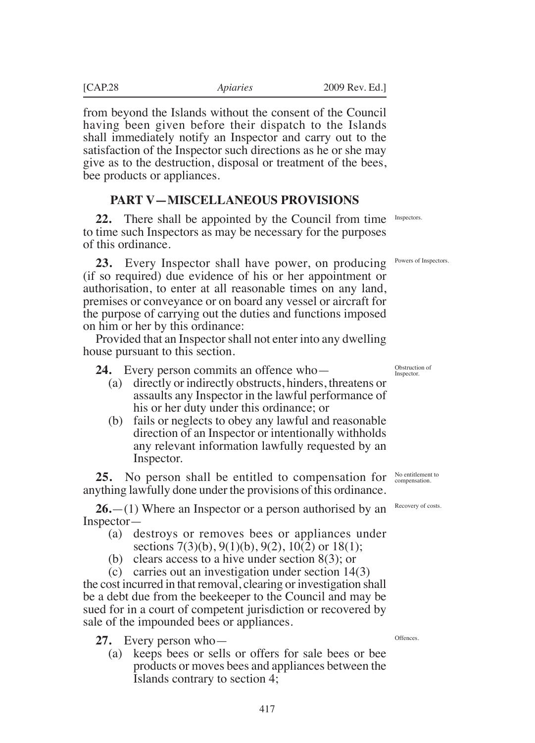from beyond the Islands without the consent of the Council having been given before their dispatch to the Islands shall immediately notify an Inspector and carry out to the satisfaction of the Inspector such directions as he or she may give as to the destruction, disposal or treatment of the bees, bee products or appliances.

### **PART V—MISCELLANEOUS PROVISIONS**

**22.** There shall be appointed by the Council from time to time such Inspectors as may be necessary for the purposes of this ordinance.

**23.** Every Inspector shall have power, on producing (if so required) due evidence of his or her appointment or authorisation, to enter at all reasonable times on any land, premises or conveyance or on board any vessel or aircraft for the purpose of carrying out the duties and functions imposed on him or her by this ordinance:

Provided that an Inspector shall not enter into any dwelling house pursuant to this section.

**24.** Every person commits an offence who—

- (a) directly or indirectly obstructs, hinders, threatens or assaults any Inspector in the lawful performance of his or her duty under this ordinance; or
- (b) fails or neglects to obey any lawful and reasonable direction of an Inspector or intentionally withholds any relevant information lawfully requested by an Inspector.

**25.** No person shall be entitled to compensation for anything lawfully done under the provisions of this ordinance.

**26.**—(1) Where an Inspector or a person authorised by an Inspector—

- (a) destroys or removes bees or appliances under sections  $7(3)(b)$ ,  $9(1)(b)$ ,  $9(2)$ ,  $10(2)$  or  $18(1)$ ;
- (b) clears access to a hive under section 8(3); or

(c) carries out an investigation under section 14(3) the cost incurred in that removal, clearing or investigation shall be a debt due from the beekeeper to the Council and may be sued for in a court of competent jurisdiction or recovered by sale of the impounded bees or appliances.

**27.** Every person who—

(a) keeps bees or sells or offers for sale bees or bee products or moves bees and appliances between the Islands contrary to section 4;

Inspectors.

Powers of Inspectors.

Obstruction of Inspector.

No entitlement to compensation.

Recovery of costs.

**Offences**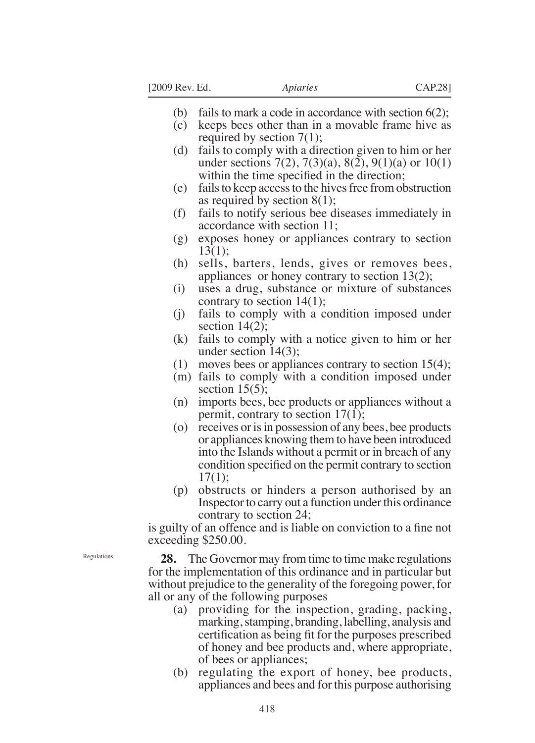- (b) fails to mark a code in accordance with section 6(2);
- (c) keeps bees other than in a movable frame hive as required by section 7(1);
- (d) fails to comply with a direction given to him or her under sections  $7(2)$ ,  $7(3)(a)$ ,  $8(2)$ ,  $9(1)(a)$  or  $10(1)$ within the time specified in the direction;
- (e) fails to keep access to the hives free from obstruction as required by section 8(1);
- (f) fails to notify serious bee diseases immediately in accordance with section 11;
- (g) exposes honey or appliances contrary to section 13(1);
- (h) sells, barters, lends, gives or removes bees, appliances or honey contrary to section 13(2);
- (i) uses a drug, substance or mixture of substances contrary to section 14(1);
- (j) fails to comply with a condition imposed under section  $14(2)$ ;
- (k) fails to comply with a notice given to him or her under section 14(3);
- (1) moves bees or appliances contrary to section 15(4);
- (m) fails to comply with a condition imposed under section  $15(5)$ ;
- (n) imports bees, bee products or appliances without a permit, contrary to section  $17(1)$ ;
- (o) receives or is in possession of any bees, bee products or appliances knowing them to have been introduced into the Islands without a permit or in breach of any condition specified on the permit contrary to section  $17(1)$ :
- (p) obstructs or hinders a person authorised by an Inspector to carry out a function under this ordinance contrary to section 24;

is guilty of an offence and is liable on conviction to a fine not exceeding \$250.00.

**28.** The Governor may from time to time make regulations for the implementation of this ordinance and in particular but without prejudice to the generality of the foregoing power, for all or any of the following purposes

- (a) providing for the inspection, grading, packing, marking, stamping, branding, labelling, analysis and certification as being fit for the purposes prescribed of honey and bee products and, where appropriate, of bees or appliances;
- (b) regulating the export of honey, bee products, appliances and bees and for this purpose authorising

Regulations.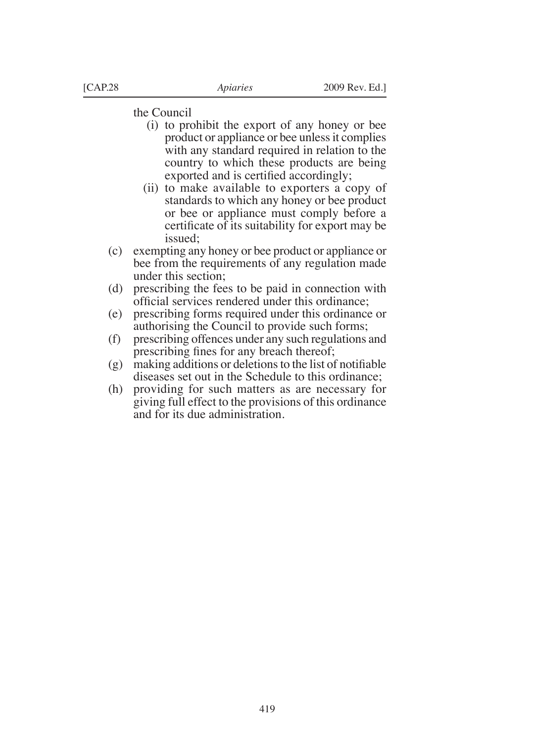the Council

- (i) to prohibit the export of any honey or bee product or appliance or bee unless it complies with any standard required in relation to the country to which these products are being exported and is certified accordingly;
- (ii) to make available to exporters a copy of standards to which any honey or bee product or bee or appliance must comply before a certificate of its suitability for export may be issued;
- (c) exempting any honey or bee product or appliance or bee from the requirements of any regulation made under this section;
- (d) prescribing the fees to be paid in connection with oficial services rendered under this ordinance;
- (e) prescribing forms required under this ordinance or authorising the Council to provide such forms;
- (f) prescribing offences under any such regulations and prescribing fines for any breach thereof;
- $(g)$  making additions or deletions to the list of notifiable diseases set out in the Schedule to this ordinance;
- (h) providing for such matters as are necessary for giving full effect to the provisions of this ordinance and for its due administration.